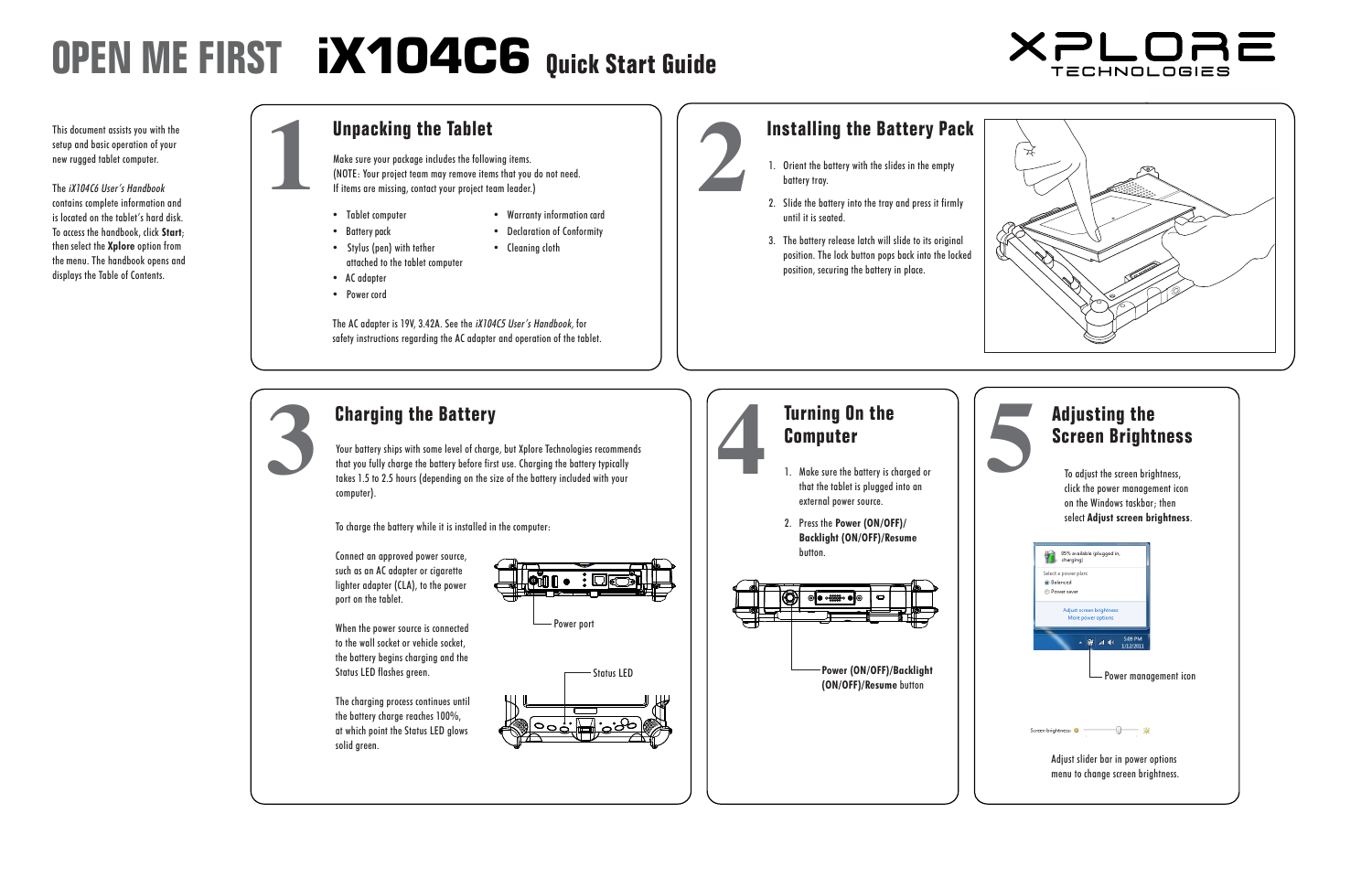# **OPEN ME FIRST 
iX104C6** Quick Start Guide

This document assists you with the **The Table** setup and basic operation of your new rugged tablet computer. This document assists you with the<br>setup and basic operation of your<br>new rugged tablet computer. (NOTE: You do not need.) The state team may remove it is that you do not need.) The state of the state of the

The *iX104C6 User's Handbook* contains complete information and is located on the tablet's hard disk. is localed on the fabler's hard alsk.<br>To access the handbook, click **Start**; then select the **Xplore** option from men server me suppose opmen nome.<br>the menu. The handbook opens and displays the Table of Contents.

To charge the battery while it is installed in the computer:

The charging process continues until 5. Click **Pen input**. the battery charge reaches 100%, 6. Click **Calibrate**. at which point the Status LED glows 7. Click **Touch input**. solid green.



- Tablet computer
- Battery pack
- Declaration of Conformity • Cleaning cloth

• Warranty information card

2. Slide the battery into the tray and press it firmly until it is seated. To charge the battery while it is installed in the computer:

1. Orient the battery with the slides in the empty.

3. The battery release latch will slide to its original position. The lock button pops back into the locked position, securing the battery in place.

Your battery ships with some level of charge, but Xplore Technologies recommends that you fully charge the battery before first use. Charging the battery typically takes 1.5 to 2.5 hours (depending on the size of the battery included with your computer). **3 Charging the Battery**<br>
Your battery ships with some level of charge, but Xplore Technologies recommends<br>
that you fully charge the battery before first use. Charging the battery typically<br>
takes 1.5 to 2.5 hours (depe takes 1.5 to 2.5 hours (depending on the size of the battery includ<br>computer).<br>To charge the battery while it is installed in the computer:<br>Connect an approved power source,<br>such as an AC adapter or cigarette

#### **Unpacking the Tablet**

**11 Make sure your package includes the following items.**<br> **Install Make sure your package includes the following items.**<br> **If items are missing, contact your project team leader.)**<br> **If items are missing, contact your pro** (NOTE: Your project team may remove items that you do not need. If items are missing, contact your project team leader.) **2 king the Tablet**<br>**2** 1. Our package includes the following items.<br>Propect team may remove items that you do not need.

- that the tablet is plugged into an external power source.
- 2. Press the **Power (ON/OFF)/ Backlight (ON/OFF)/Resume** button. **Using the Pennish Butte**

Status LED **Power (ON/OFF)/Backlight Touch mode:** In the Windows taskbar, press the right-click **(ON/OFF)/Resume** button  $\vert \cdot \vert$ 



- Stylus (pen) with tether attached to the tablet computer position, securing the battery in place.
- AC adapter
- Power cord

**Installing the Battery Pack**

 $\mathcal{L}$  adapter is 19V, 3.42A. See the iX104C5 User's Handbook, for iX104C5 User's Handbook, for iX104C5 User's Handbook, for iX104C5 User's Handbook, for iX104C5 User's Handbook, for iX104C5 User's Handbook, for iX104C5 safety instructions regarding the AC adapter and operation of the tablet.

The AC adapter is 19V, 3.42A. See the iX104C5 User's Handbook, for safety instructions regarding the AC adapter and operation of the tablet.

# **2.** 2. Slide the battery into the tray and press it firm

#### **Charging the Battery**

#### **Adjusting the Screen Brightness**

**5**

Power port



To adjust the screen brightness, click the power management icon on the Windows taskbar; then select **Adjust screen brightness**.

Connect an approved power source, such as an AC adapter or cigarette  $\frac{1}{2}$  lighter adapter (CLA), to the power port on the tablet. 1. Click **Start > Control Panel***.*

When the power source is connected**ies and all the Solution Pow** to the wall socket or vehicle socket, **Sound**. the battery begins charging and the 3. Click **Tablet PC Settings**. Status LED flashes green. 4. Click **Calibrate**.

Status LED flashes green.

#### **at us** Computer **4 1.** Make sure the battery is charged or<br>
1. Make sure the battery is charged or<br>
that the tablet is plugged into an The charging process continues until  $\blacksquare$  turning vn







**Screen Brightness**

**(ON/OFF)/Resume** button

select **Adjust screen brightness**.

Power management icon



Perform a right-click